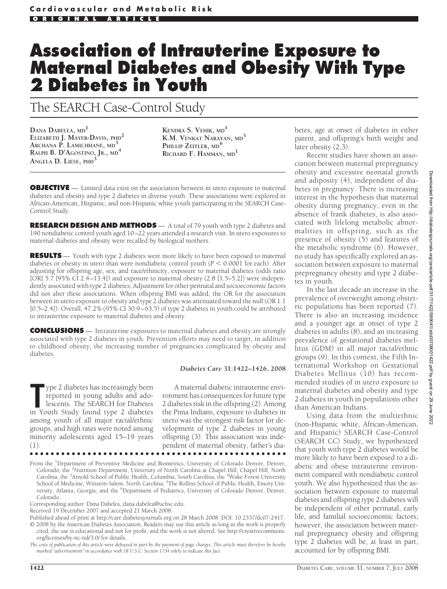# **Association of Intrauterine Exposure to Maternal Diabetes and Obesity With Type 2 Diabetes in Youth**

# The SEARCH Case-Control Study

**DANA DABELEA, MD<sup>1</sup> ELIZABETH J. MAYER-DAVIS, PHD<sup>2</sup> ARCHANA P. LAMICHHANE, MD<sup>3</sup> RALPH B. D'AGOSTINO, JR., MD<sup>4</sup> ANGELA D. LIESE, PHD<sup>3</sup>**

**KENDRA S. VEHIK, MD<sup>1</sup> K.M. VENKAT NARAYAN, MD<sup>5</sup> PHILLIP ZEITLER, MD<sup>6</sup> RICHARD F. HAMMAN, MD<sup>1</sup>**

**OBJECTIVE** — Limited data exist on the association between in utero exposure to maternal diabetes and obesity and type 2 diabetes in diverse youth. These associations were explored in African-American, Hispanic, and non-Hispanic white youth participating in the SEARCH Case-Control Study.

**RESEARCH DESIGN AND METHODS** — A total of 79 youth with type 2 diabetes and 190 nondiabetic control youth aged 10–22 years attended a research visit. In utero exposures to maternal diabetes and obesity were recalled by biological mothers.

**RESULTS** — Youth with type 2 diabetes were more likely to have been exposed to maternal diabetes or obesity in utero than were nondiabetic control youth ( $P < 0.0001$  for each). After adjusting for offspring age, sex, and race/ethnicity, exposure to maternal diabetes (odds ratio [OR] 5.7 [95% CI 2.4–13.4]) and exposure to maternal obesity (2.8 [1.5–5.2]) were independently associated with type 2 diabetes. Adjustment for other perinatal and socioeconomic factors did not alter these associations. When offspring BMI was added, the OR for the association between in utero exposure to obesity and type 2 diabetes was attenuated toward the null (OR 1.1 [0.5–2.4]). Overall, 47.2% (95% CI 30.9–63.5) of type 2 diabetes in youth could be attributed to intrauterine exposure to maternal diabetes and obesity.

**CONCLUSIONS** — Intrauterine exposures to maternal diabetes and obesity are strongly associated with type 2 diabetes in youth. Prevention efforts may need to target, in addition to childhood obesity, the increasing number of pregnancies complicated by obesity and diabetes.

#### *Diabetes Care* **31:1422–1426, 2008**

The Study found the study found type 2 diabetes in Youth Study found type 2 diabetes ype 2 diabetes has increasingly been reported in young adults and adolescents. The SEARCH for Diabetes among youth of all major racial/ethnic groups, and high rates were noted among minority adolescents aged 15–19 years (1).

A maternal diabetic intrauterine environment has consequences for future type 2 diabetes risk in the offspring (2). Among the Pima Indians, exposure to diabetes in utero was the strongest risk factor for development of type 2 diabetes in young offspring (3). This association was independent of maternal obesity, father's dia-

●●●●●●●●●●●●●●●●●●●●●●●●●●●●●●●●●●●●●●●●●●●●●●●●●

From the <sup>1</sup>Department of Preventive Medicine and Biometrics, University of Colorado Denver, Denver, Colorado; the <sup>2</sup>Nutrition Department, University of North Carolina at Chapel Hill, Chapel Hill, North Carolina; the <sup>3</sup>Arnold School of Public Health, Columbia, South Carolina; the <sup>4</sup>Wake Forest University School of Medicine, Winston-Salem, North Carolina; <sup>5</sup>The Rollins School of Public Health, Emory University, Atlanta, Georgia; and the <sup>6</sup>Department of Pediatrics, University of Colorado Denver, Denver, Colorado.

Corresponding author: Dana Dabelea, dana.dabelea@uchsc.edu.

cited, the use is educational and not for profit, and the work is not altered. See http://creativecommons. org/licenses/by-nc-nd/3.0/ for details.

*The costs of publication of this article were defrayed in part by the payment of page charges. This article must therefore be hereby marked "advertisement" in accordance with 18 U.S.C. Section 1734 solely to indicate this fact.*

betes, age at onset of diabetes in either parent, and offspring's birth weight and later obesity (2,3).

Recent studies have shown an association between maternal prepregnancy obesity and excessive neonatal growth and adiposity (4), independent of diabetes in pregnancy. There is increasing interest in the hypothesis that maternal obesity during pregnancy, even in the absence of frank diabetes, is also associated with lifelong metabolic abnormalities in offspring, such as the presence of obesity (5) and features of the metabolic syndrome (6). However, no study has specifically explored an association between exposure to maternal prepregnancy obesity and type 2 diabetes in youth.

In the last decade an increase in the prevalence of overweight among obstetric populations has been reported (7). There is also an increasing incidence and a younger age at onset of type 2 diabetes in adults (8), and an increasing prevalence of gestational diabetes mellitus (GDM) in all major racial/ethnic groups (9). In this context, the Fifth International Workshop on Gestational Diabetes Mellitus (10) has recommended studies of in utero exposure to maternal diabetes and obesity and type 2 diabetes in youth in populations other than American Indians.

Using data from the multiethnic (non-Hispanic white, African-American, and Hispanic) SEARCH Case-Control (SEARCH CC) Study, we hypothesized that youth with type 2 diabetes would be more likely to have been exposed to a diabetic and obese intrauterine environment compared with nondiabetic control youth. We also hypothesized that the association between exposure to maternal diabetes and offspring type 2 diabetes will be independent of other perinatal, early life, and familial socioeconomic factors; however, the association between maternal prepregnancy obesity and offspring type 2 diabetes will be, at least in part, accounted for by offspring BMI.

Received 19 December 2007 and accepted 21 March 2008.

Published ahead of print at http://care.diabetesjournals.org on 28 March 2008. DOI: 10.2337/dc07-2417. © 2008 by the American Diabetes Association. Readers may use this article as long as the work is properly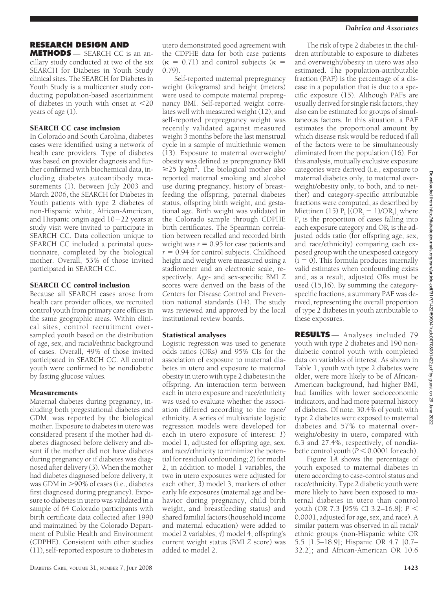#### *Dabelea and Associates*

## **RESEARCH DESIGN AND**

**METHODS** — SEARCH CC is an ancillary study conducted at two of the six SEARCH for Diabetes in Youth Study clinical sites. The SEARCH for Diabetes in Youth Study is a multicenter study conducting population-based ascertainment of diabetes in youth with onset at  $\leq$ 20 years of age (1).

### SEARCH CC case inclusion

In Colorado and South Carolina, diabetes cases were identified using a network of health care providers. Type of diabetes was based on provider diagnosis and further confirmed with biochemical data, including diabetes autoantibody measurements (1). Between July 2003 and March 2006, the SEARCH for Diabetes in Youth patients with type 2 diabetes of non-Hispanic white, African-American, and Hispanic origin aged 10-22 years at study visit were invited to participate in SEARCH CC. Data collection unique to SEARCH CC included a perinatal questionnaire, completed by the biological mother. Overall, 53% of those invited participated in SEARCH CC.

#### SEARCH CC control inclusion

Because all SEARCH cases arose from health care provider offices, we recruited control youth from primary care offices in the same geographic areas. Within clinical sites, control recruitment oversampled youth based on the distribution of age, sex, and racial/ethnic background of cases. Overall, 49% of those invited participated in SEARCH CC. All control youth were confirmed to be nondiabetic by fasting glucose values.

#### **Measurements**

Maternal diabetes during pregnancy, including both pregestational diabetes and GDM, was reported by the biological mother. Exposure to diabetes in utero was considered present if the mother had diabetes diagnosed before delivery and absent if the mother did not have diabetes during pregnancy or if diabetes was diagnosed after delivery (3). When the mother had diabetes diagnosed before delivery, it was GDM in >90% of cases (i.e., diabetes first diagnosed during pregnancy). Exposure to diabetes in utero was validated in a sample of 64 Colorado participants with birth certificate data collected after 1990 and maintained by the Colorado Department of Public Health and Environment (CDPHE). Consistent with other studies (11), self-reported exposure to diabetes in

Self-reported maternal prepregnancy weight (kilograms) and height (meters) were used to compute maternal prepregnancy BMI. Self-reported weight correlates well with measured weight (12), and self-reported prepregnancy weight was recently validated against measured weight 3 months before the last menstrual cycle in a sample of multiethnic women (13). Exposure to maternal overweight/ obesity was defined as prepregnancy BMI  $\geq$ 25 kg/m<sup>2</sup>. The biological mother also reported maternal smoking and alcohol use during pregnancy, history of breastfeeding the offspring, paternal diabetes status, offspring birth weight, and gestational age. Birth weight was validated in the Colorado sample through CDPHE birth certificates. The Spearman correlation between recalled and recorded birth weight was  $r = 0.95$  for case patients and  $r = 0.94$  for control subjects. Childhood height and weight were measured using a stadiometer and an electronic scale, respectively. Age- and sex-specific BMI *Z* scores were derived on the basis of the Centers for Disease Control and Prevention national standards (14). The study was reviewed and approved by the local institutional review boards.

#### Statistical analyses

Logistic regression was used to generate odds ratios (ORs) and 95% CIs for the association of exposure to maternal diabetes in utero and exposure to maternal obesity in utero with type 2 diabetes in the offspring. An interaction term between each in utero exposure and race/ethnicity was used to evaluate whether the association differed according to the race/ ethnicity. A series of multivariate logistic regression models were developed for each in utero exposure of interest: *1*) model 1, adjusted for offspring age, sex, and race/ethnicity to minimize the potential for residual confounding; *2*) for model 2, in addition to model 1 variables, the two in utero exposures were adjusted for each other; *3*) model 3, markers of other early life exposures (maternal age and behavior during pregnancy, child birth weight, and breastfeeding status) and shared familial factors (household income and maternal education) were added to model 2 variables; *4*) model 4, offspring's current weight status (BMI *Z* score) was added to model 2.

The risk of type 2 diabetes in the children attributable to exposure to diabetes and overweight/obesity in utero was also estimated. The population-attributable fraction (PAF) is the percentage of a disease in a population that is due to a specific exposure (15). Although PAFs are usually derived for single risk factors, they also can be estimated for groups of simultaneous factors. In this situation, a PAF estimates the proportional amount by which disease risk would be reduced if all of the factors were to be simultaneously eliminated from the population (16). For this analysis, mutually exclusive exposure categories were derived (i.e., exposure to maternal diabetes only, to maternal overweight/obesity only, to both, and to neither) and category-specific attributable fractions were computed, as described by Miettinen (15)  $P_i$  [(OR<sub>i</sub>  $-$  1)/OR<sub>i</sub>]<sub>,</sub> where  $P_i$  is the proportion of cases falling into each exposure category and ORi is the adjusted odds ratio (for offspring age, sex, and race/ethnicity) comparing each exposed group with the unexposed category  $(i = 0)$ . This formula produces internally valid estimates when confounding exists and, as a result, adjusted ORs must be used (15,16). By summing the categoryspecific fractions, a summary PAF was derived, representing the overall proportion of type 2 diabetes in youth attributable to these exposures.

**RESULTS** — Analyses included 79 youth with type 2 diabetes and 190 nondiabetic control youth with completed data on variables of interest. As shown in Table 1, youth with type 2 diabetes were older, were more likely to be of African-American background, had higher BMI, had families with lower socioeconomic indicators, and had more paternal history of diabetes. Of note, 30.4% of youth with type 2 diabetes were exposed to maternal diabetes and 57% to maternal overweight/obesity in utero, compared with 6.3 and 27.4%, respectively, of nondiabetic control youth  $(P < 0.0001$  for each).

Figure 1*A* shows the percentage of youth exposed to maternal diabetes in utero according to case-control status and race/ethnicity. Type 2 diabetic youth were more likely to have been exposed to maternal diabetes in utero than control youth (OR 7.3 [95% CI 3.2–16.8]; *P* 0.0001, adjusted for age, sex, and race). A similar pattern was observed in all racial/ ethnic groups (non-Hispanic white OR 5.5 [1.5–18.9]; Hispanic OR 4.7 [0.7– 32.2]; and African-American OR 10.6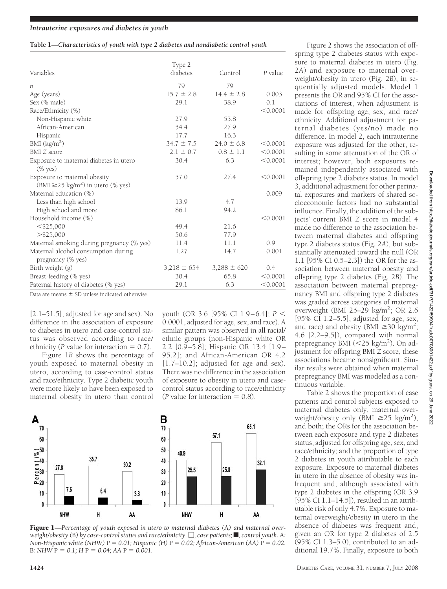#### **Table 1—***Characteristics of youth with type 2 diabetes and nondiabetic control youth*

|                                                          | Type 2          |                 |          |  |
|----------------------------------------------------------|-----------------|-----------------|----------|--|
| Variables                                                | diabetes        | Control         | P value  |  |
| п                                                        | 79              | 79              |          |  |
| Age (years)                                              | $15.7 \pm 2.8$  | $14.4 \pm 2.8$  | 0.003    |  |
| Sex (% male)                                             | 29.1            | 38.9            | 0.1      |  |
| Race/Ethnicity (%)                                       |                 |                 | < 0.0001 |  |
| Non-Hispanic white                                       | 27.9            | 55.8            |          |  |
| African-American                                         | 54.4            | 27.9            |          |  |
| Hispanic                                                 | 17.7            | 16.3            |          |  |
| BMI $(kg/m2)$                                            | $34.7 \pm 7.5$  | $24.0 \pm 6.8$  | < 0.0001 |  |
| <b>BMI</b> Z score                                       | $2.1 \pm 0.7$   | $0.8 \pm 1.1$   | < 0.0001 |  |
| Exposure to maternal diabetes in utero<br>$(\%$ yes)     | 30.4            | 6.3             | < 0.0001 |  |
| Exposure to maternal obesity                             | 57.0            | 27.4            | < 0.0001 |  |
| (BMI $\geq$ 25 kg/m <sup>2</sup> ) in utero (% yes)      |                 |                 |          |  |
| Maternal education (%)                                   |                 |                 | 0.009    |  |
| Less than high school                                    | 13.9            | 4.7             |          |  |
| High school and more                                     | 86.1            | 94.2            |          |  |
| Household income (%)                                     |                 |                 | < 0.0001 |  |
| $<$ \$25,000                                             | 49.4            | 21.6            |          |  |
| $>$ \$25,000                                             | 50.6            | 77.9            |          |  |
| Maternal smoking during pregnancy (% yes)                | 11.4            | 11.1            | 0.9      |  |
| Maternal alcohol consumption during<br>pregnancy (% yes) | 1.27            | 14.7            | 0.001    |  |
| Birth weight (g)                                         | $3,218 \pm 654$ | $3,288 \pm 620$ | 0.4      |  |
| Breast-feeding (% yes)                                   | 30.4            | 65.8            | < 0.0001 |  |
| Paternal history of diabetes (% yes)                     | 29.1            | 6.3             | < 0.0001 |  |

Data are means  $\pm$  SD unless indicated otherwise.

[2.1–51.5], adjusted for age and sex). No difference in the association of exposure to diabetes in utero and case-control status was observed according to race/ ethnicity ( $P$  value for interaction  $= 0.7$ ).

Figure 1*B* shows the percentage of youth exposed to maternal obesity in utero, according to case-control status and race/ethnicity. Type 2 diabetic youth were more likely to have been exposed to maternal obesity in utero than control youth (OR 3.6 [95% CI 1.9–6.4]; *P* 0.0001, adjusted for age, sex, and race). A similar pattern was observed in all racial/ ethnic groups (non-Hispanic white OR 2.2 [0.9–5.8]; Hispanic OR 13.4 [1.9– 95.2]; and African-American OR 4.2  $[1.7–10.2]$ ; adjusted for age and sex). There was no difference in the association of exposure to obesity in utero and casecontrol status according to race/ethnicity (*P* value for interaction  $= 0.8$ ).





Figure 2 shows the association of offspring type 2 diabetes status with exposure to maternal diabetes in utero (Fig. 2*A*) and exposure to maternal overweight/obesity in utero (Fig. 2*B*), in sequentially adjusted models. Model 1 presents the OR and 95% CI for the associations of interest, when adjustment is made for offspring age, sex, and race/ ethnicity. Additional adjustment for paternal diabetes (yes/no) made no difference. In model 2, each intrauterine exposure was adjusted for the other, resulting in some attenuation of the OR of interest; however, both exposures remained independently associated with offspring type 2 diabetes status. In model 3, additional adjustment for other perinatal exposures and markers of shared socioeconomic factors had no substantial influence. Finally, the addition of the subjects' current BMI *Z* score in model 4 made no difference to the association between maternal diabetes and offspring type 2 diabetes status (Fig. 2*A*), but substantially attenuated toward the null (OR 1.1 [95% CI 0.5–2.3]) the OR for the association between maternal obesity and offspring type 2 diabetes (Fig. 2*B*). The association between maternal prepregnancy BMI and offspring type 2 diabetes was graded across categories of maternal overweight (BMI 25-29 kg/m<sup>2</sup>; OR 2.6 [95% CI  $1.2-5.5$ ], adjusted for age, sex, and race) and obesity (BMI  $\geq$  30 kg/m<sup>2</sup>; 4.6 [2.2–9.5]), compared with normal prepregnancy BMI (<25 kg/m<sup>2</sup>). On adjustment for offspring BMI *Z* score, these associations became nonsignificant. Similar results were obtained when maternal prepregnancy BMI was modeled as a continuous variable.

Table 2 shows the proportion of case patients and control subjects exposed to maternal diabetes only, maternal overweight/obesity only (BMI  $\geq$ 25 kg/m<sup>2</sup>), and both; the ORs for the association between each exposure and type 2 diabetes status, adjusted for offspring age, sex, and race/ethnicity; and the proportion of type 2 diabetes in youth attributable to each exposure. Exposure to maternal diabetes in utero in the absence of obesity was infrequent and, although associated with type 2 diabetes in the offspring (OR 3.9 [95% CI 1.1–14.5]), resulted in an attributable risk of only 4.7%. Exposure to maternal overweight/obesity in utero in the absence of diabetes was frequent and, given an OR for type 2 diabetes of 2.5 (95% CI 1.3–5.0), contributed to an additional 19.7%. Finally, exposure to both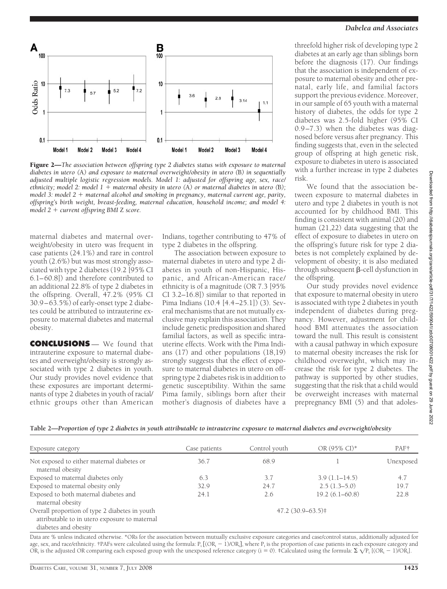

Figure 2—*The association between offspring type 2 diabetes status with exposure to maternal diabetes in utero (*A*) and exposure to maternal overweight/obesity in utero (*B*) in sequentially adjusted multiple logistic regression models. Model 1: adjusted for offspring age, sex, race/ ethnicity; model 2: model 1 maternal obesity in utero (*A*) or maternal diabetes in utero (*B*); model 3: model 2 maternal alcohol and smoking in pregnancy, maternal current age, parity, offspring's birth weight, breast-feeding, maternal education, household income; and model 4: model 2 current offspring BMI* Z *score.*

maternal diabetes and maternal overweight/obesity in utero was frequent in case patients (24.1%) and rare in control youth (2.6%) but was most strongly associated with type 2 diabetes (19.2 [95% CI 6.1–60.8]) and therefore contributed to an additional 22.8% of type 2 diabetes in the offspring. Overall, 47.2% (95% CI 30.9–63.5%) of early-onset type 2 diabetes could be attributed to intrauterine exposure to maternal diabetes and maternal obesity.

**CONCLUSIONS** — We found that intrauterine exposure to maternal diabetes and overweight/obesity is strongly associated with type 2 diabetes in youth. Our study provides novel evidence that these exposures are important determinants of type 2 diabetes in youth of racial/ ethnic groups other than American Indians, together contributing to 47% of type 2 diabetes in the offspring.

The association between exposure to maternal diabetes in utero and type 2 diabetes in youth of non-Hispanic, Hispanic, and African-American race/ ethnicity is of a magnitude (OR 7.3 [95% CI 3.2–16.8]) similar to that reported in Pima Indians (10.4 [4.4–25.1]) (3). Several mechanisms that are not mutually exclusive may explain this association. They include genetic predisposition and shared familial factors, as well as specific intrauterine effects. Work with the Pima Indians (17) and other populations (18,19) strongly suggests that the effect of exposure to maternal diabetes in utero on offspring type 2 diabetes risk is in addition to genetic susceptibility. Within the same Pima family, siblings born after their mother's diagnosis of diabetes have a

#### *Dabelea and Associates*

threefold higher risk of developing type 2 diabetes at an early age than siblings born before the diagnosis (17). Our findings that the association is independent of exposure to maternal obesity and other prenatal, early life, and familial factors support the previous evidence. Moreover, in our sample of 65 youth with a maternal history of diabetes, the odds for type 2 diabetes was 2.5-fold higher (95% CI 0.9–7.3) when the diabetes was diagnosed before versus after pregnancy. This finding suggests that, even in the selected group of offspring at high genetic risk, exposure to diabetes in utero is associated with a further increase in type 2 diabetes risk.

We found that the association between exposure to maternal diabetes in utero and type 2 diabetes in youth is not accounted for by childhood BMI. This finding is consistent with animal (20) and human (21,22) data suggesting that the effect of exposure to diabetes in utero on the offspring's future risk for type 2 diabetes is not completely explained by development of obesity; it is also mediated through subsequent  $\beta$ -cell dysfunction in the offspring.

Our study provides novel evidence that exposure to maternal obesity in utero is associated with type 2 diabetes in youth independent of diabetes during pregnancy. However, adjustment for childhood BMI attenuates the association toward the null. This result is consistent with a causal pathway in which exposure to maternal obesity increases the risk for childhood overweight, which may increase the risk for type 2 diabetes. The pathway is supported by other studies, suggesting that the risk that a child would be overweight increases with maternal prepregnancy BMI (5) and that adolesDownloaded from http://diabetesjournals.org/care/article-pdf/31/7/1422/599041/zdc00708001422.pdf by guest on 29 June 2022

Downloaded from http://diabetesjournals.org/care/article-pdf/31/7/1422/599041/zdc00708001422.pdf by guest on 29 June 2022

|  | Table 2-Proportion of type 2 diabetes in youth attributable to intrauterine exposure to maternal diabetes and overweight/obesity |  |  |  |  |
|--|----------------------------------------------------------------------------------------------------------------------------------|--|--|--|--|
|  |                                                                                                                                  |  |  |  |  |
|  |                                                                                                                                  |  |  |  |  |
|  |                                                                                                                                  |  |  |  |  |

| Exposure category                                                                                                       | Case patients | Control youth | OR (95% CI)*       | PAF <sup>†</sup> |
|-------------------------------------------------------------------------------------------------------------------------|---------------|---------------|--------------------|------------------|
| Not exposed to either maternal diabetes or<br>maternal obesity                                                          | 36.7          | 68.9          |                    | Unexposed        |
| Exposed to maternal diabetes only                                                                                       | 6.3           | 3.7           | $3.9(1.1 - 14.5)$  | 4.7              |
| Exposed to maternal obesity only                                                                                        | 32.9          | 24.7          | $2.5(1.3-5.0)$     | 19.7             |
| Exposed to both maternal diabetes and<br>maternal obesity                                                               | 24.1          | 2.6           | $19.2(6.1 - 60.8)$ | 22.8             |
| Overall proportion of type 2 diabetes in youth<br>attributable to in utero exposure to maternal<br>diabetes and obesity |               |               | $47.2(30.9-63.5)$  |                  |

Data are % unless indicated otherwise. \*ORs for the association between mutually exclusive exposure categories and case/control status, additionally adjusted for age, sex, and race/ethnicity. †PAFs were calculated using the formula:  $P_i$  [(OR<sub>i</sub>  $-$  1)/OR<sub>i</sub>], where  $P_i$  is the proportion of case patients in each exposure category and OR<sub>i</sub> is the adjusted OR comparing each exposed group with the unexposed reference category (i = 0). ‡Calculated using the formula:  $\Sigma \sqrt{P_i}$  [(OR<sub>i</sub> - 1)/OR<sub>i</sub>].